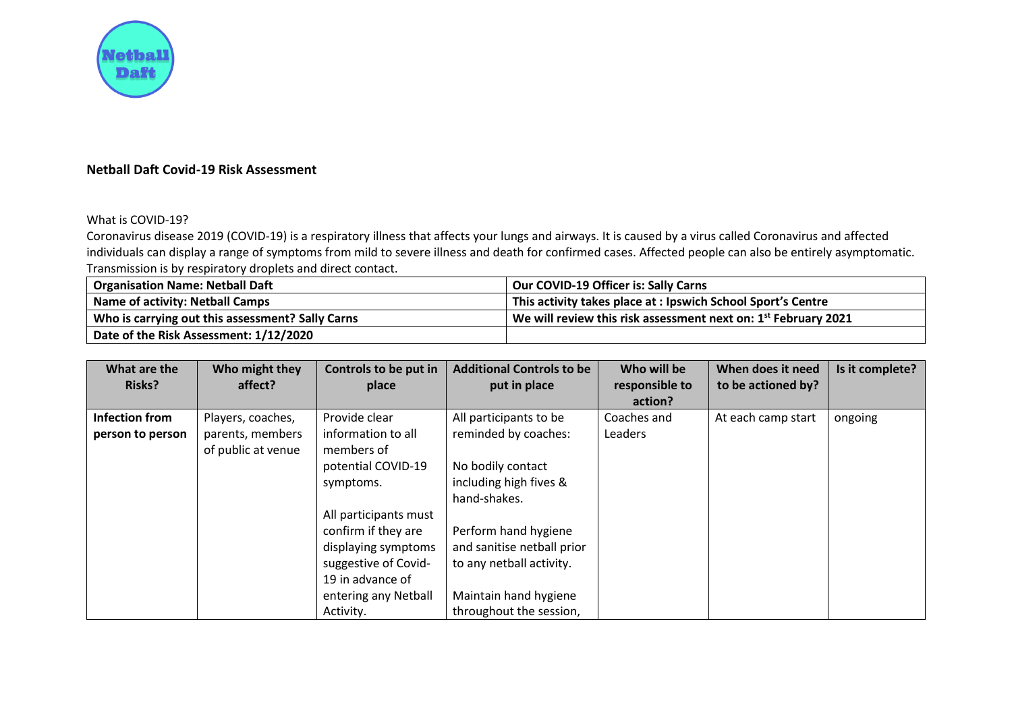

## **Netball Daft Covid-19 Risk Assessment**

## What is COVID-19?

Coronavirus disease 2019 (COVID-19) is a respiratory illness that affects your lungs and airways. It is caused by a virus called Coronavirus and affected individuals can display a range of symptoms from mild to severe illness and death for confirmed cases. Affected people can also be entirely asymptomatic. Transmission is by respiratory droplets and direct contact.

| <b>Organisation Name: Netball Daft</b>           | <b>Our COVID-19 Officer is: Sally Carns</b>                      |
|--------------------------------------------------|------------------------------------------------------------------|
| Name of activity: Netball Camps                  | This activity takes place at: Ipswich School Sport's Centre      |
| Who is carrying out this assessment? Sally Carns | We will review this risk assessment next on: $1st$ February 2021 |
| Date of the Risk Assessment: 1/12/2020           |                                                                  |

| What are the          | Who might they     | Controls to be put in | <b>Additional Controls to be</b> | Who will be    | When does it need  | Is it complete? |
|-----------------------|--------------------|-----------------------|----------------------------------|----------------|--------------------|-----------------|
| <b>Risks?</b>         | affect?            | place                 | put in place                     | responsible to | to be actioned by? |                 |
|                       |                    |                       |                                  | action?        |                    |                 |
| <b>Infection from</b> | Players, coaches,  | Provide clear         | All participants to be           | Coaches and    | At each camp start | ongoing         |
| person to person      | parents, members   | information to all    | reminded by coaches:             | Leaders        |                    |                 |
|                       | of public at venue | members of            |                                  |                |                    |                 |
|                       |                    | potential COVID-19    | No bodily contact                |                |                    |                 |
|                       |                    | symptoms.             | including high fives &           |                |                    |                 |
|                       |                    |                       | hand-shakes.                     |                |                    |                 |
|                       |                    | All participants must |                                  |                |                    |                 |
|                       |                    | confirm if they are   | Perform hand hygiene             |                |                    |                 |
|                       |                    | displaying symptoms   | and sanitise netball prior       |                |                    |                 |
|                       |                    | suggestive of Covid-  | to any netball activity.         |                |                    |                 |
|                       |                    | 19 in advance of      |                                  |                |                    |                 |
|                       |                    | entering any Netball  | Maintain hand hygiene            |                |                    |                 |
|                       |                    | Activity.             | throughout the session,          |                |                    |                 |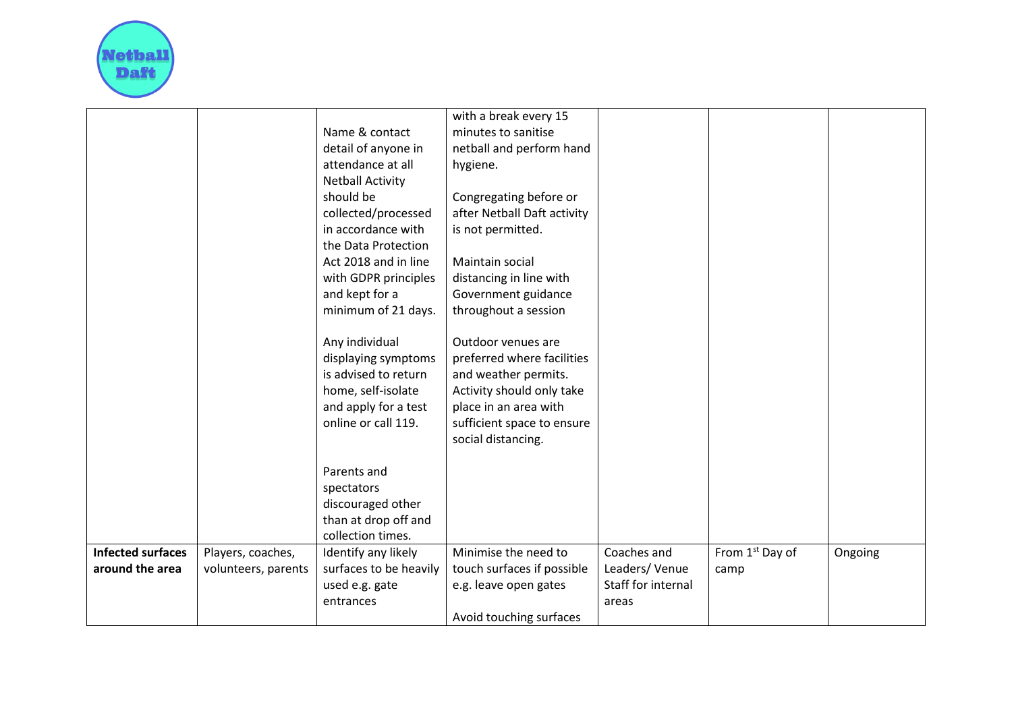

|                          |                     | Name & contact                            | with a break every 15<br>minutes to sanitise |                    |                             |         |
|--------------------------|---------------------|-------------------------------------------|----------------------------------------------|--------------------|-----------------------------|---------|
|                          |                     | detail of anyone in                       | netball and perform hand                     |                    |                             |         |
|                          |                     | attendance at all                         | hygiene.                                     |                    |                             |         |
|                          |                     | <b>Netball Activity</b>                   |                                              |                    |                             |         |
|                          |                     | should be                                 | Congregating before or                       |                    |                             |         |
|                          |                     | collected/processed                       | after Netball Daft activity                  |                    |                             |         |
|                          |                     | in accordance with                        | is not permitted.                            |                    |                             |         |
|                          |                     | the Data Protection                       |                                              |                    |                             |         |
|                          |                     | Act 2018 and in line                      | Maintain social                              |                    |                             |         |
|                          |                     | with GDPR principles                      | distancing in line with                      |                    |                             |         |
|                          |                     | and kept for a                            | Government guidance                          |                    |                             |         |
|                          |                     | minimum of 21 days.                       | throughout a session                         |                    |                             |         |
|                          |                     |                                           |                                              |                    |                             |         |
|                          |                     | Any individual                            | Outdoor venues are                           |                    |                             |         |
|                          |                     | displaying symptoms                       | preferred where facilities                   |                    |                             |         |
|                          |                     | is advised to return                      | and weather permits.                         |                    |                             |         |
|                          |                     | home, self-isolate                        | Activity should only take                    |                    |                             |         |
|                          |                     | and apply for a test                      | place in an area with                        |                    |                             |         |
|                          |                     | online or call 119.                       | sufficient space to ensure                   |                    |                             |         |
|                          |                     |                                           | social distancing.                           |                    |                             |         |
|                          |                     |                                           |                                              |                    |                             |         |
|                          |                     | Parents and                               |                                              |                    |                             |         |
|                          |                     | spectators                                |                                              |                    |                             |         |
|                          |                     | discouraged other<br>than at drop off and |                                              |                    |                             |         |
|                          |                     | collection times.                         |                                              |                    |                             |         |
| <b>Infected surfaces</b> | Players, coaches,   | Identify any likely                       | Minimise the need to                         | Coaches and        | From 1 <sup>st</sup> Day of | Ongoing |
| around the area          | volunteers, parents | surfaces to be heavily                    | touch surfaces if possible                   | Leaders/Venue      | camp                        |         |
|                          |                     | used e.g. gate                            | e.g. leave open gates                        | Staff for internal |                             |         |
|                          |                     | entrances                                 |                                              | areas              |                             |         |
|                          |                     |                                           | Avoid touching surfaces                      |                    |                             |         |
|                          |                     |                                           |                                              |                    |                             |         |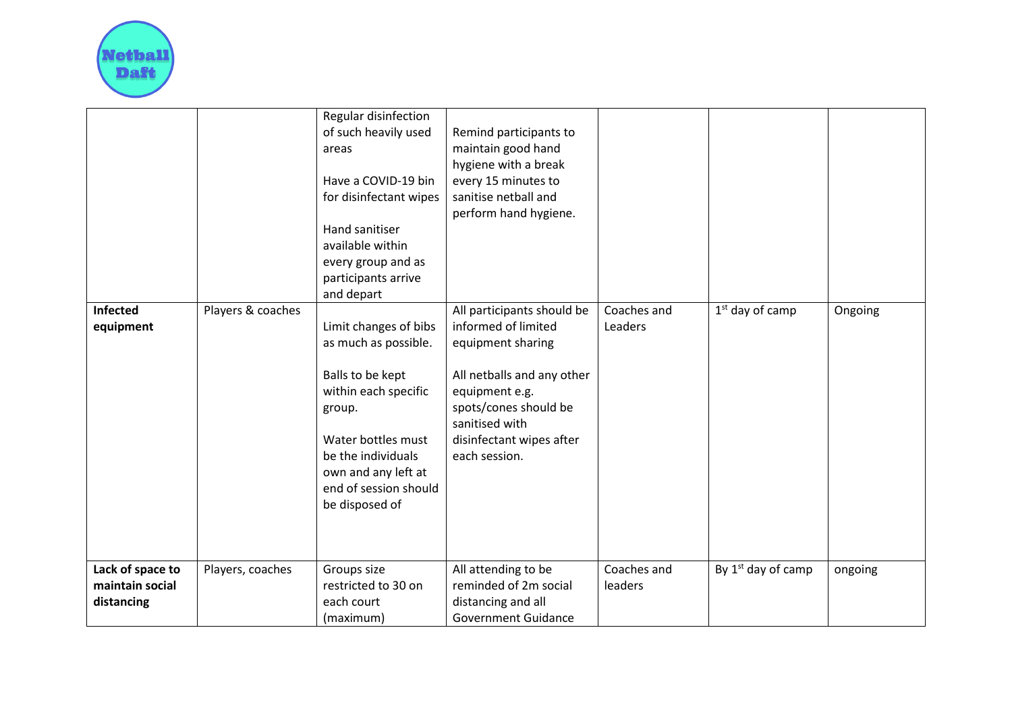

|                                                   |                   | Regular disinfection<br>of such heavily used<br>areas<br>Have a COVID-19 bin<br>for disinfectant wipes<br>Hand sanitiser<br>available within<br>every group and as<br>participants arrive<br>and depart           | Remind participants to<br>maintain good hand<br>hygiene with a break<br>every 15 minutes to<br>sanitise netball and<br>perform hand hygiene.                                                                   |                        |                      |         |
|---------------------------------------------------|-------------------|-------------------------------------------------------------------------------------------------------------------------------------------------------------------------------------------------------------------|----------------------------------------------------------------------------------------------------------------------------------------------------------------------------------------------------------------|------------------------|----------------------|---------|
| Infected<br>equipment                             | Players & coaches | Limit changes of bibs<br>as much as possible.<br>Balls to be kept<br>within each specific<br>group.<br>Water bottles must<br>be the individuals<br>own and any left at<br>end of session should<br>be disposed of | All participants should be<br>informed of limited<br>equipment sharing<br>All netballs and any other<br>equipment e.g.<br>spots/cones should be<br>sanitised with<br>disinfectant wipes after<br>each session. | Coaches and<br>Leaders | $1st$ day of camp    | Ongoing |
| Lack of space to<br>maintain social<br>distancing | Players, coaches  | Groups size<br>restricted to 30 on<br>each court<br>(maximum)                                                                                                                                                     | All attending to be<br>reminded of 2m social<br>distancing and all<br><b>Government Guidance</b>                                                                                                               | Coaches and<br>leaders | By $1st$ day of camp | ongoing |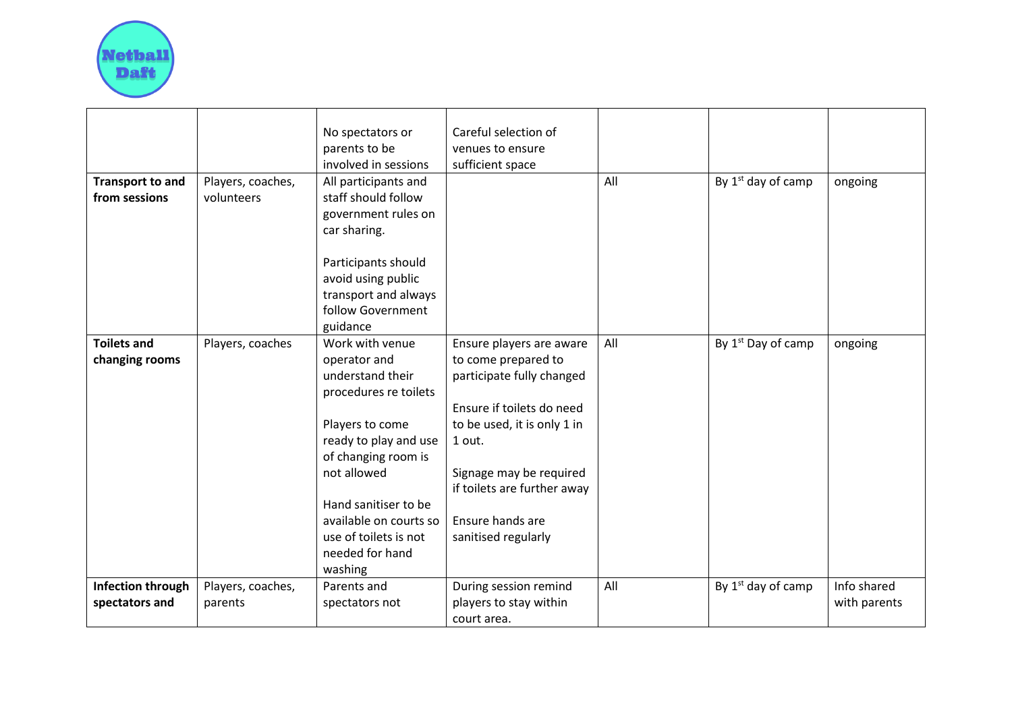

|                                          |                                 | No spectators or<br>parents to be<br>involved in sessions                                                                                                                                                                                                               | Careful selection of<br>venues to ensure<br>sufficient space                                                                                                                                                                                            |     |                                |                             |
|------------------------------------------|---------------------------------|-------------------------------------------------------------------------------------------------------------------------------------------------------------------------------------------------------------------------------------------------------------------------|---------------------------------------------------------------------------------------------------------------------------------------------------------------------------------------------------------------------------------------------------------|-----|--------------------------------|-----------------------------|
| <b>Transport to and</b><br>from sessions | Players, coaches,<br>volunteers | All participants and<br>staff should follow<br>government rules on<br>car sharing.<br>Participants should<br>avoid using public                                                                                                                                         |                                                                                                                                                                                                                                                         | All | By $1st$ day of camp           | ongoing                     |
|                                          |                                 | transport and always<br>follow Government<br>guidance                                                                                                                                                                                                                   |                                                                                                                                                                                                                                                         |     |                                |                             |
| <b>Toilets and</b><br>changing rooms     | Players, coaches                | Work with venue<br>operator and<br>understand their<br>procedures re toilets<br>Players to come<br>ready to play and use<br>of changing room is<br>not allowed<br>Hand sanitiser to be<br>available on courts so<br>use of toilets is not<br>needed for hand<br>washing | Ensure players are aware<br>to come prepared to<br>participate fully changed<br>Ensure if toilets do need<br>to be used, it is only 1 in<br>1 out.<br>Signage may be required<br>if toilets are further away<br>Ensure hands are<br>sanitised regularly | All | By 1 <sup>st</sup> Day of camp | ongoing                     |
| Infection through<br>spectators and      | Players, coaches,<br>parents    | Parents and<br>spectators not                                                                                                                                                                                                                                           | During session remind<br>players to stay within<br>court area.                                                                                                                                                                                          | All | By 1 <sup>st</sup> day of camp | Info shared<br>with parents |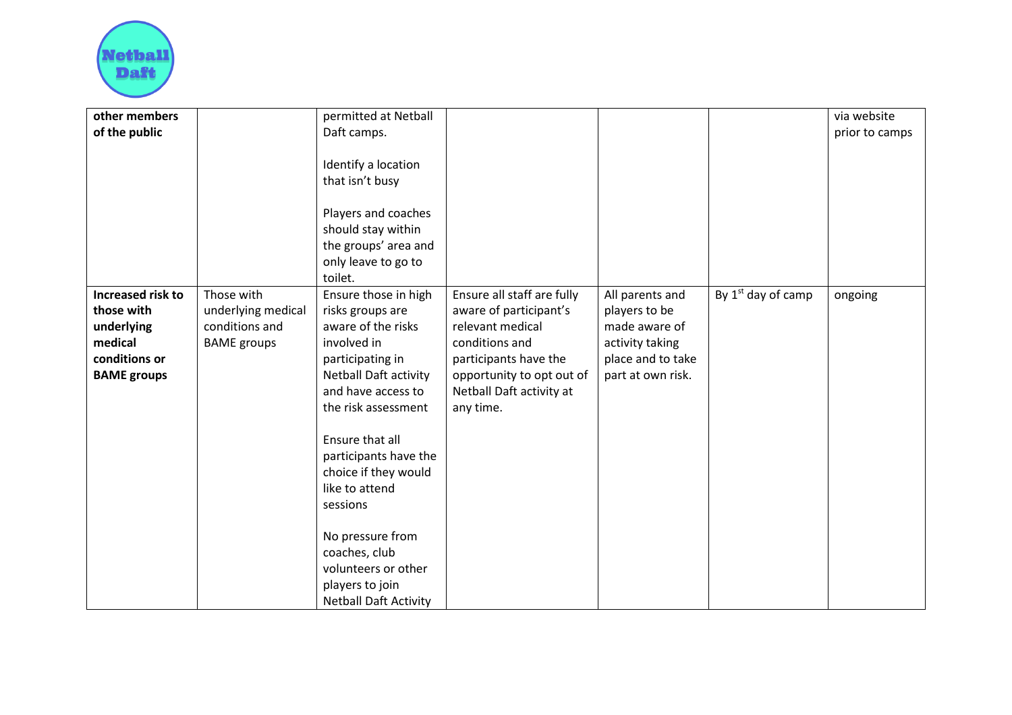

| other members            |                    | permitted at Netball                                                                    |                            |                   |                                | via website    |
|--------------------------|--------------------|-----------------------------------------------------------------------------------------|----------------------------|-------------------|--------------------------------|----------------|
| of the public            |                    | Daft camps.                                                                             |                            |                   |                                | prior to camps |
|                          |                    |                                                                                         |                            |                   |                                |                |
|                          |                    | Identify a location                                                                     |                            |                   |                                |                |
|                          |                    | that isn't busy                                                                         |                            |                   |                                |                |
|                          |                    |                                                                                         |                            |                   |                                |                |
|                          |                    | Players and coaches                                                                     |                            |                   |                                |                |
|                          |                    | should stay within                                                                      |                            |                   |                                |                |
|                          |                    | the groups' area and                                                                    |                            |                   |                                |                |
|                          |                    | only leave to go to                                                                     |                            |                   |                                |                |
|                          |                    | toilet.                                                                                 |                            |                   |                                |                |
| <b>Increased risk to</b> | Those with         | Ensure those in high                                                                    | Ensure all staff are fully | All parents and   | By 1 <sup>st</sup> day of camp | ongoing        |
| those with               | underlying medical | risks groups are                                                                        | aware of participant's     | players to be     |                                |                |
| underlying               | conditions and     | aware of the risks                                                                      | relevant medical           | made aware of     |                                |                |
| medical                  | <b>BAME</b> groups | involved in                                                                             | conditions and             | activity taking   |                                |                |
| conditions or            |                    | participating in                                                                        | participants have the      | place and to take |                                |                |
| <b>BAME</b> groups       |                    | Netball Daft activity                                                                   | opportunity to opt out of  | part at own risk. |                                |                |
|                          |                    | and have access to                                                                      | Netball Daft activity at   |                   |                                |                |
|                          |                    | the risk assessment                                                                     | any time.                  |                   |                                |                |
|                          |                    |                                                                                         |                            |                   |                                |                |
|                          |                    | Ensure that all                                                                         |                            |                   |                                |                |
|                          |                    | participants have the                                                                   |                            |                   |                                |                |
|                          |                    | choice if they would                                                                    |                            |                   |                                |                |
|                          |                    | like to attend                                                                          |                            |                   |                                |                |
|                          |                    | sessions                                                                                |                            |                   |                                |                |
|                          |                    | No pressure from                                                                        |                            |                   |                                |                |
|                          |                    |                                                                                         |                            |                   |                                |                |
|                          |                    |                                                                                         |                            |                   |                                |                |
|                          |                    |                                                                                         |                            |                   |                                |                |
|                          |                    |                                                                                         |                            |                   |                                |                |
|                          |                    | coaches, club<br>volunteers or other<br>players to join<br><b>Netball Daft Activity</b> |                            |                   |                                |                |